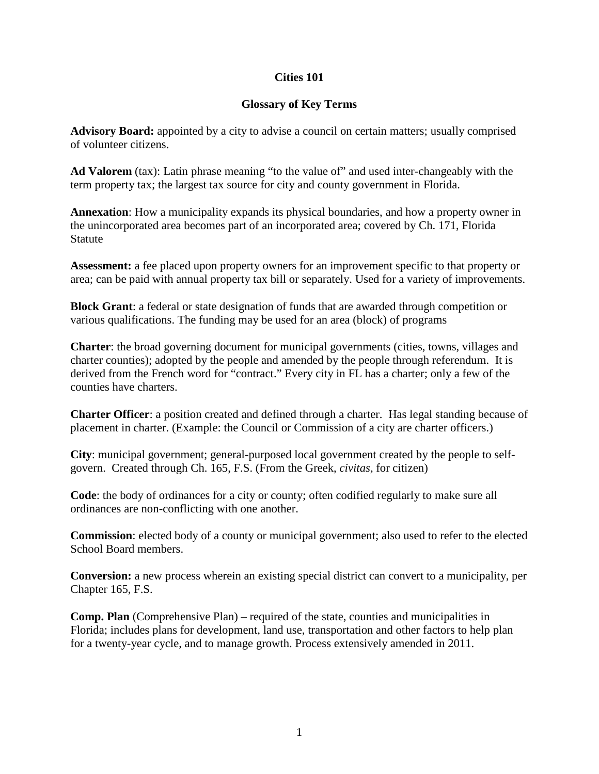## **Cities 101**

## **Glossary of Key Terms**

**Advisory Board:** appointed by a city to advise a council on certain matters; usually comprised of volunteer citizens.

Ad Valorem (tax): Latin phrase meaning "to the value of" and used inter-changeably with the term property tax; the largest tax source for city and county government in Florida.

**Annexation**: How a municipality expands its physical boundaries, and how a property owner in the unincorporated area becomes part of an incorporated area; covered by Ch. 171, Florida Statute

**Assessment:** a fee placed upon property owners for an improvement specific to that property or area; can be paid with annual property tax bill or separately. Used for a variety of improvements.

**Block Grant**: a federal or state designation of funds that are awarded through competition or various qualifications. The funding may be used for an area (block) of programs

**Charter**: the broad governing document for municipal governments (cities, towns, villages and charter counties); adopted by the people and amended by the people through referendum. It is derived from the French word for "contract." Every city in FL has a charter; only a few of the counties have charters.

**Charter Officer**: a position created and defined through a charter. Has legal standing because of placement in charter. (Example: the Council or Commission of a city are charter officers.)

**City**: municipal government; general-purposed local government created by the people to selfgovern. Created through Ch. 165, F.S. (From the Greek, *civitas,* for citizen)

**Code**: the body of ordinances for a city or county; often codified regularly to make sure all ordinances are non-conflicting with one another.

**Commission**: elected body of a county or municipal government; also used to refer to the elected School Board members.

**Conversion:** a new process wherein an existing special district can convert to a municipality, per Chapter 165, F.S.

**Comp. Plan** (Comprehensive Plan) – required of the state, counties and municipalities in Florida; includes plans for development, land use, transportation and other factors to help plan for a twenty-year cycle, and to manage growth. Process extensively amended in 2011.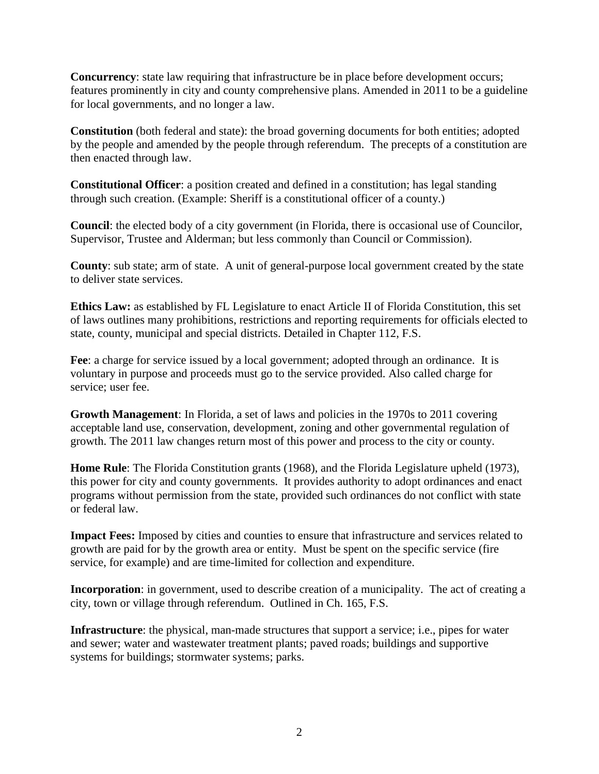**Concurrency**: state law requiring that infrastructure be in place before development occurs; features prominently in city and county comprehensive plans. Amended in 2011 to be a guideline for local governments, and no longer a law.

**Constitution** (both federal and state): the broad governing documents for both entities; adopted by the people and amended by the people through referendum. The precepts of a constitution are then enacted through law.

**Constitutional Officer**: a position created and defined in a constitution; has legal standing through such creation. (Example: Sheriff is a constitutional officer of a county.)

**Council**: the elected body of a city government (in Florida, there is occasional use of Councilor, Supervisor, Trustee and Alderman; but less commonly than Council or Commission).

**County**: sub state; arm of state. A unit of general-purpose local government created by the state to deliver state services.

**Ethics Law:** as established by FL Legislature to enact Article II of Florida Constitution, this set of laws outlines many prohibitions, restrictions and reporting requirements for officials elected to state, county, municipal and special districts. Detailed in Chapter 112, F.S.

Fee: a charge for service issued by a local government; adopted through an ordinance. It is voluntary in purpose and proceeds must go to the service provided. Also called charge for service; user fee.

**Growth Management**: In Florida, a set of laws and policies in the 1970s to 2011 covering acceptable land use, conservation, development, zoning and other governmental regulation of growth. The 2011 law changes return most of this power and process to the city or county.

**Home Rule**: The Florida Constitution grants (1968), and the Florida Legislature upheld (1973), this power for city and county governments. It provides authority to adopt ordinances and enact programs without permission from the state, provided such ordinances do not conflict with state or federal law.

**Impact Fees:** Imposed by cities and counties to ensure that infrastructure and services related to growth are paid for by the growth area or entity. Must be spent on the specific service (fire service, for example) and are time-limited for collection and expenditure.

**Incorporation**: in government, used to describe creation of a municipality. The act of creating a city, town or village through referendum. Outlined in Ch. 165, F.S.

**Infrastructure**: the physical, man-made structures that support a service; i.e., pipes for water and sewer; water and wastewater treatment plants; paved roads; buildings and supportive systems for buildings; stormwater systems; parks.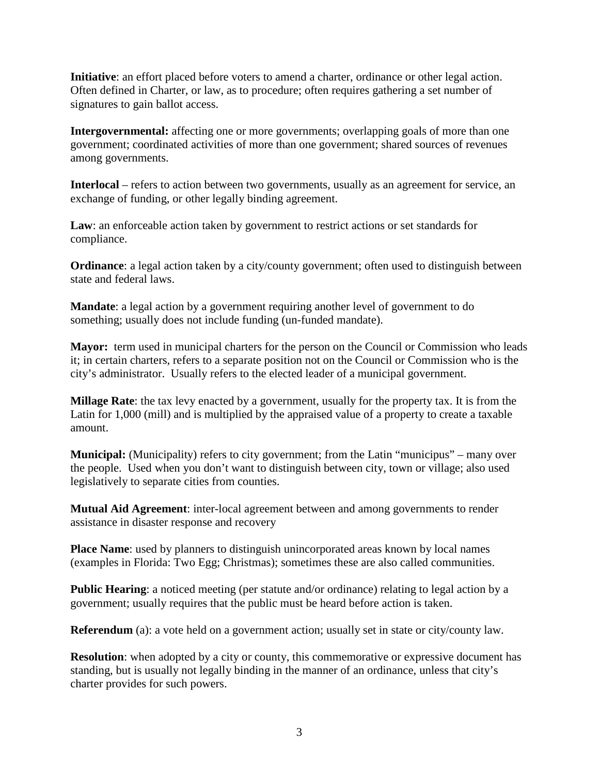**Initiative**: an effort placed before voters to amend a charter, ordinance or other legal action. Often defined in Charter, or law, as to procedure; often requires gathering a set number of signatures to gain ballot access.

**Intergovernmental:** affecting one or more governments; overlapping goals of more than one government; coordinated activities of more than one government; shared sources of revenues among governments.

**Interlocal** – refers to action between two governments, usually as an agreement for service, an exchange of funding, or other legally binding agreement.

Law: an enforceable action taken by government to restrict actions or set standards for compliance.

**Ordinance**: a legal action taken by a city/county government; often used to distinguish between state and federal laws.

**Mandate**: a legal action by a government requiring another level of government to do something; usually does not include funding (un-funded mandate).

**Mayor:** term used in municipal charters for the person on the Council or Commission who leads it; in certain charters, refers to a separate position not on the Council or Commission who is the city's administrator. Usually refers to the elected leader of a municipal government.

**Millage Rate**: the tax levy enacted by a government, usually for the property tax. It is from the Latin for 1,000 (mill) and is multiplied by the appraised value of a property to create a taxable amount.

**Municipal:** (Municipality) refers to city government; from the Latin "municipus" – many over the people. Used when you don't want to distinguish between city, town or village; also used legislatively to separate cities from counties.

**Mutual Aid Agreement**: inter-local agreement between and among governments to render assistance in disaster response and recovery

**Place Name:** used by planners to distinguish unincorporated areas known by local names (examples in Florida: Two Egg; Christmas); sometimes these are also called communities.

**Public Hearing**: a noticed meeting (per statute and/or ordinance) relating to legal action by a government; usually requires that the public must be heard before action is taken.

**Referendum** (a): a vote held on a government action; usually set in state or city/county law.

**Resolution**: when adopted by a city or county, this commemorative or expressive document has standing, but is usually not legally binding in the manner of an ordinance, unless that city's charter provides for such powers.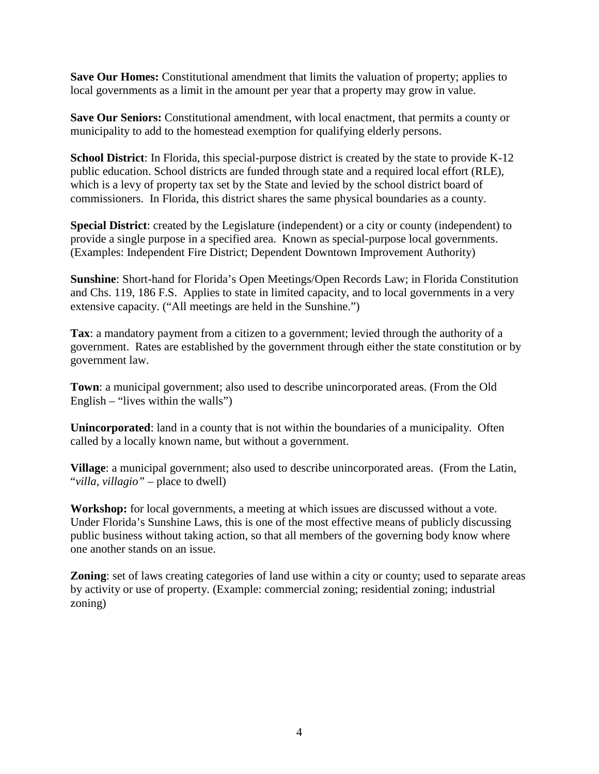**Save Our Homes:** Constitutional amendment that limits the valuation of property; applies to local governments as a limit in the amount per year that a property may grow in value.

**Save Our Seniors:** Constitutional amendment, with local enactment, that permits a county or municipality to add to the homestead exemption for qualifying elderly persons.

**School District**: In Florida, this special-purpose district is created by the state to provide K-12 public education. School districts are funded through state and a required local effort (RLE), which is a levy of property tax set by the State and levied by the school district board of commissioners. In Florida, this district shares the same physical boundaries as a county.

**Special District**: created by the Legislature (independent) or a city or county (independent) to provide a single purpose in a specified area. Known as special-purpose local governments. (Examples: Independent Fire District; Dependent Downtown Improvement Authority)

**Sunshine**: Short-hand for Florida's Open Meetings/Open Records Law; in Florida Constitution and Chs. 119, 186 F.S. Applies to state in limited capacity, and to local governments in a very extensive capacity. ("All meetings are held in the Sunshine.")

**Tax**: a mandatory payment from a citizen to a government; levied through the authority of a government. Rates are established by the government through either the state constitution or by government law.

**Town**: a municipal government; also used to describe unincorporated areas. (From the Old English – "lives within the walls")

**Unincorporated**: land in a county that is not within the boundaries of a municipality. Often called by a locally known name, but without a government.

**Village**: a municipal government; also used to describe unincorporated areas. (From the Latin, "*villa, villagio"* – place to dwell)

Workshop: for local governments, a meeting at which issues are discussed without a vote. Under Florida's Sunshine Laws, this is one of the most effective means of publicly discussing public business without taking action, so that all members of the governing body know where one another stands on an issue.

**Zoning**: set of laws creating categories of land use within a city or county; used to separate areas by activity or use of property. (Example: commercial zoning; residential zoning; industrial zoning)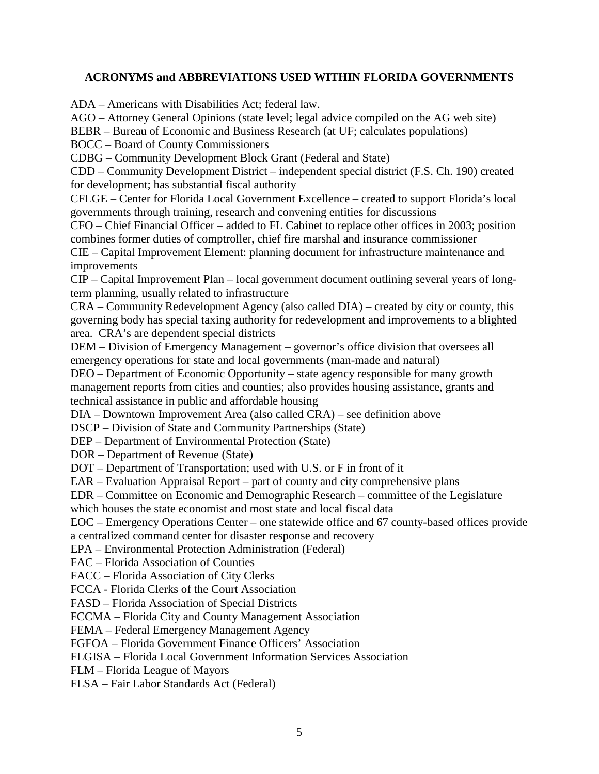## **ACRONYMS and ABBREVIATIONS USED WITHIN FLORIDA GOVERNMENTS**

ADA – Americans with Disabilities Act; federal law.

AGO – Attorney General Opinions (state level; legal advice compiled on the AG web site)

BEBR – Bureau of Economic and Business Research (at UF; calculates populations)

BOCC – Board of County Commissioners

CDBG – Community Development Block Grant (Federal and State)

CDD – Community Development District – independent special district (F.S. Ch. 190) created for development; has substantial fiscal authority

CFLGE – Center for Florida Local Government Excellence – created to support Florida's local governments through training, research and convening entities for discussions

CFO – Chief Financial Officer – added to FL Cabinet to replace other offices in 2003; position combines former duties of comptroller, chief fire marshal and insurance commissioner

CIE – Capital Improvement Element: planning document for infrastructure maintenance and improvements

CIP – Capital Improvement Plan – local government document outlining several years of longterm planning, usually related to infrastructure

CRA – Community Redevelopment Agency (also called DIA) – created by city or county, this governing body has special taxing authority for redevelopment and improvements to a blighted area. CRA's are dependent special districts

DEM – Division of Emergency Management – governor's office division that oversees all emergency operations for state and local governments (man-made and natural)

DEO – Department of Economic Opportunity – state agency responsible for many growth management reports from cities and counties; also provides housing assistance, grants and technical assistance in public and affordable housing

DIA – Downtown Improvement Area (also called CRA) – see definition above

DSCP – Division of State and Community Partnerships (State)

DEP – Department of Environmental Protection (State)

DOR – Department of Revenue (State)

DOT – Department of Transportation; used with U.S. or F in front of it

EAR – Evaluation Appraisal Report – part of county and city comprehensive plans

EDR – Committee on Economic and Demographic Research – committee of the Legislature which houses the state economist and most state and local fiscal data

EOC – Emergency Operations Center – one statewide office and 67 county-based offices provide a centralized command center for disaster response and recovery

EPA – Environmental Protection Administration (Federal)

FAC – Florida Association of Counties

FACC – Florida Association of City Clerks

FCCA - Florida Clerks of the Court Association

FASD – Florida Association of Special Districts

FCCMA – Florida City and County Management Association

FEMA – Federal Emergency Management Agency

FGFOA – Florida Government Finance Officers' Association

FLGISA – Florida Local Government Information Services Association

FLM – Florida League of Mayors

FLSA – Fair Labor Standards Act (Federal)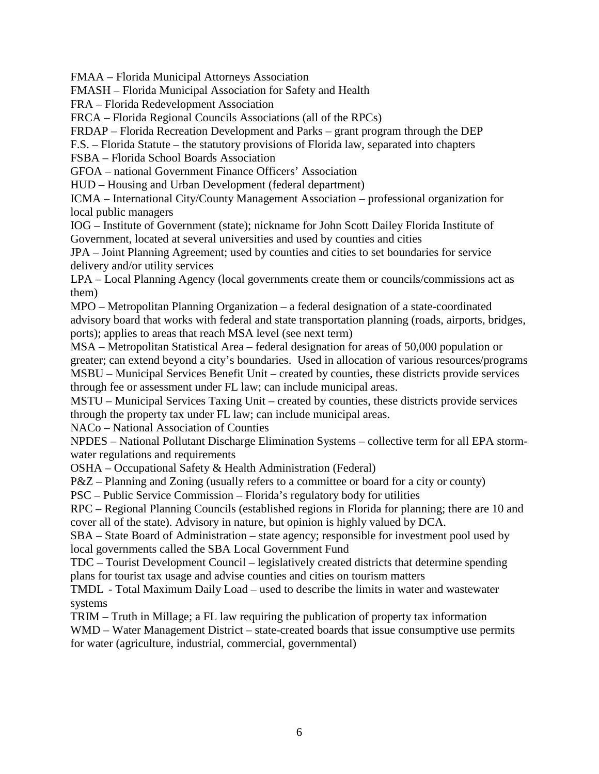FMAA – Florida Municipal Attorneys Association

FMASH – Florida Municipal Association for Safety and Health

FRA – Florida Redevelopment Association

FRCA – Florida Regional Councils Associations (all of the RPCs)

FRDAP – Florida Recreation Development and Parks – grant program through the DEP

F.S. – Florida Statute – the statutory provisions of Florida law, separated into chapters

FSBA – Florida School Boards Association

GFOA – national Government Finance Officers' Association

HUD – Housing and Urban Development (federal department)

ICMA – International City/County Management Association – professional organization for local public managers

IOG – Institute of Government (state); nickname for John Scott Dailey Florida Institute of Government, located at several universities and used by counties and cities

JPA – Joint Planning Agreement; used by counties and cities to set boundaries for service delivery and/or utility services

LPA – Local Planning Agency (local governments create them or councils/commissions act as them)

MPO – Metropolitan Planning Organization – a federal designation of a state-coordinated advisory board that works with federal and state transportation planning (roads, airports, bridges, ports); applies to areas that reach MSA level (see next term)

MSA – Metropolitan Statistical Area – federal designation for areas of 50,000 population or greater; can extend beyond a city's boundaries. Used in allocation of various resources/programs MSBU – Municipal Services Benefit Unit – created by counties, these districts provide services through fee or assessment under FL law; can include municipal areas.

MSTU – Municipal Services Taxing Unit – created by counties, these districts provide services through the property tax under FL law; can include municipal areas.

NACo – National Association of Counties

NPDES – National Pollutant Discharge Elimination Systems – collective term for all EPA stormwater regulations and requirements

OSHA – Occupational Safety & Health Administration (Federal)

P&Z – Planning and Zoning (usually refers to a committee or board for a city or county)

PSC – Public Service Commission – Florida's regulatory body for utilities

RPC – Regional Planning Councils (established regions in Florida for planning; there are 10 and cover all of the state). Advisory in nature, but opinion is highly valued by DCA.

SBA – State Board of Administration – state agency; responsible for investment pool used by local governments called the SBA Local Government Fund

TDC – Tourist Development Council – legislatively created districts that determine spending plans for tourist tax usage and advise counties and cities on tourism matters

TMDL - Total Maximum Daily Load – used to describe the limits in water and wastewater systems

TRIM – Truth in Millage; a FL law requiring the publication of property tax information

WMD – Water Management District – state-created boards that issue consumptive use permits for water (agriculture, industrial, commercial, governmental)